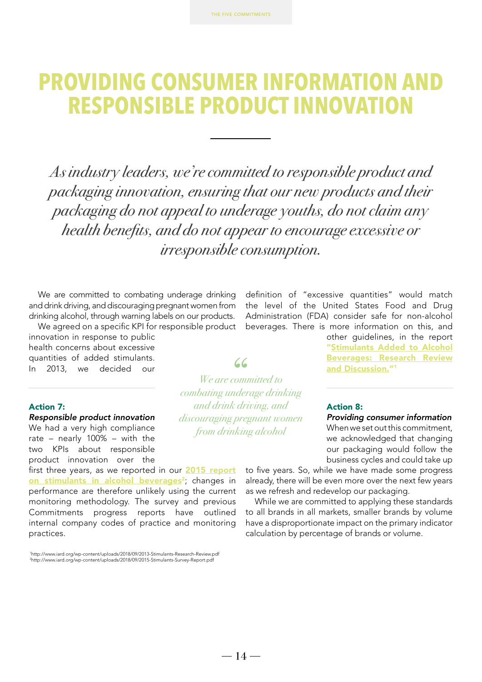# **PROVIDING CONSUMER INFORMATION AND RESPONSIBLE PRODUCT INNOVATION**

*As industry leaders, we're committed to responsible product and packaging innovation, ensuring that our new products and their packaging do not appeal to underage youths, do not claim any health benefits, and do not appear to encourage excessive or irresponsible consumption.*

We are committed to combating underage drinking and drink driving, and discouraging pregnant women from drinking alcohol, through warning labels on our products.

We agreed on a specific KPI for responsible product innovation in response to public health concerns about excessive quantities of added stimulants. In 2013, we decided our

### Action 7:

*Responsible product innovation* We had a very high compliance rate – nearly 100% – with the two KPIs about responsible product innovation over the

first three years, as we reported in our **[2015 report](http://www.iard.org/wp-content/uploads/2018/09/2015-Stimulants-Survey-Report.pdf)** on stimulants in alcohol beverages<sup>2</sup>; changes in performance are therefore unlikely using the current monitoring methodology. The survey and previous Commitments progress reports have outlined internal company codes of practice and monitoring practices.

1 http://www.iard.org/wp-content/uploads/2018/09/2013-Stimulants-Research-Review.pdf 2 http://www.iard.org/wp-content/uploads/2018/09/2015-Stimulants-Survey-Report.pdf

definition of "excessive quantities" would match the level of the United States Food and Drug Administration (FDA) consider safe for non-alcohol beverages. There is more information on this, and

> other guidelines, in the report ["Stimulants Added to Alcohol](http://www.iard.org/wp-content/uploads/2018/09/2013-Stimulants-Research-Review.pdf) [Beverages: Research Review](http://www.iard.org/wp-content/uploads/2018/09/2013-Stimulants-Research-Review.pdf) and Discussion."<sup>1</sup>

### Action 8:

*Providing consumer information*

When we set out this commitment, we acknowledged that changing our packaging would follow the business cycles and could take up

to five years. So, while we have made some progress already, there will be even more over the next few years as we refresh and redevelop our packaging.

While we are committed to applying these standards to all brands in all markets, smaller brands by volume have a disproportionate impact on the primary indicator calculation by percentage of brands or volume.

 $66$ *We are committed to* 

*combating underage drinking and drink driving, and discouraging pregnant women from drinking alcohol*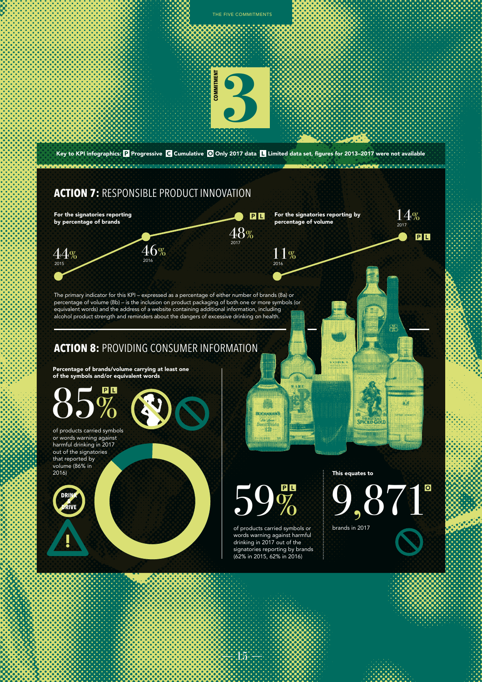

 $1.5\,$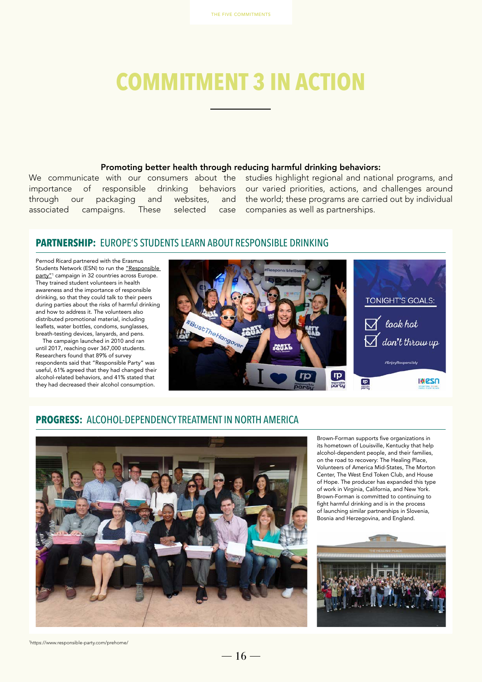# **COMMITMENT 3 IN ACTION**

#### Promoting better health through reducing harmful drinking behaviors:

through our packaging and websites, associated campaigns. These selected

We communicate with our consumers about the studies highlight regional and national programs, and importance of responsible drinking behaviors our varied priorities, actions, and challenges around and the world; these programs are carried out by individual case companies as well as partnerships.

## **PARTNERSHIP:** EUROPE'S STUDENTS LEARN ABOUT RESPONSIBLE DRINKING

Pernod Ricard partnered with the Erasmus Students Network (ESN) to run the "Responsible [party"](https://www.responsible-party.com/prehome/)<sup>1</sup> campaign in 32 countries across Europe. They trained student volunteers in health awareness and the importance of responsible drinking, so that they could talk to their peers during parties about the risks of harmful drinking and how to address it. The volunteers also distributed promotional material, including leaflets, water bottles, condoms, sunglasses, breath-testing devices, lanyards, and pens.

The campaign launched in 2010 and ran until 2017, reaching over 367,000 students. Researchers found that 89% of survey respondents said that "Responsible Party" was useful, 61% agreed that they had changed their alcohol-related behaviors, and 41% stated that they had decreased their alcohol consumption.



## **PROGRESS:** ALCOHOL-DEPENDENCY TREATMENT IN NORTH AMERICA



Brown-Forman supports five organizations in its hometown of Louisville, Kentucky that help alcohol-dependent people, and their families, on the road to recovery: The Healing Place, Volunteers of America Mid-States, The Morton Center, The West End Token Club, and House of Hope. The producer has expanded this type of work in Virginia, California, and New York. Brown-Forman is committed to continuing to fight harmful drinking and is in the process of launching similar partnerships in Slovenia, Bosnia and Herzegovina, and England.